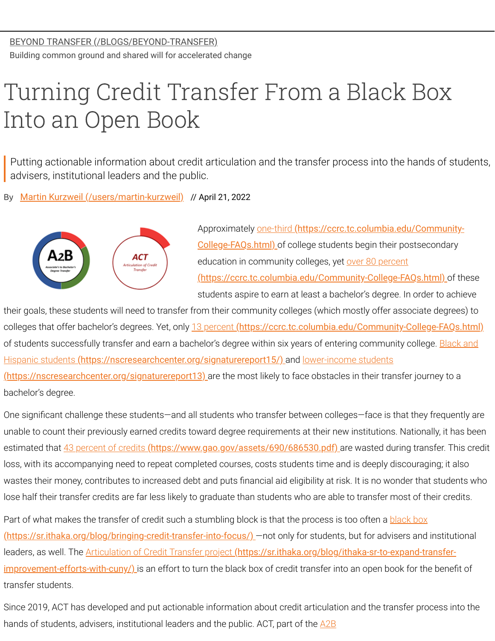## Turning Credit Transfer From a Black Box Into an Open Book

Putting actionable information about credit articulation and the transfer process into the hands of students, advisers, institutional leaders and the public.

By [Martin Kurzweil \(/users/martin-kurzweil\)](https://www.insidehighered.com/users/martin-kurzweil) // April 21, 2022



Approximately one-third (https://ccrc.tc.columbia.edu/Community-College-FAQs.html) [of college students begin their postsecondary](https://ccrc.tc.columbia.edu/Community-College-FAQs.html) education in community colleges, yet over 80 percent [\(https://ccrc.tc.columbia.edu/Community-College-FAQs.html\)](https://ccrc.tc.columbia.edu/Community-College-FAQs.html) of these

students aspire to earn at least a bachelor's degree. In order to achieve

their goals, these students will need to transfer from their community colleges (which mostly offer associate degrees) to colleges that offer bachelor's degrees. Yet, only 13 percent [\(https://ccrc.tc.columbia.edu/Community-College-FAQs.html\)](https://ccrc.tc.columbia.edu/Community-College-FAQs.html) [of students successfully transfer and earn a bachelor's degree within six years of entering community college. Black and](https://nscresearchcenter.org/signaturereport15/) Hispanic students [\(https://nscresearchcenter.org/signaturereport15/\)](https://nscresearchcenter.org/signaturereport13) and lower-income students

(https://nscresearchcenter.org/signaturereport13) are the most likely to face obstacles in their transfer journey to a bachelor's degree.

One significant challenge these students—and all students who transfer between colleges—face is that they frequently are unable to count their previously earned credits toward degree requirements at their new institutions. Nationally, it has been estimated that 43 percent of credits [\(https://www.gao.gov/assets/690/686530.pdf\)](https://www.gao.gov/assets/690/686530.pdf) are wasted during transfer. This credit loss, with its accompanying need to repeat completed courses, costs students time and is deeply discouraging; it also wastes their money, contributes to increased debt and puts financial aid eligibility at risk. It is no wonder that students who lose half their transfer credits are far less likely to graduate than students who are able to transfer most of their credits.

[Part of what makes the transfer of credit such a stumbling block is that the process is too often a black box](https://sr.ithaka.org/blog/bringing-credit-transfer-into-focus/) (https://sr.ithaka.org/blog/bringing-credit-transfer-into-focus/) —not only for students, but for advisers and institutional leaders, as well. The Articulation of Credit Transfer project (https://sr.ithaka.org/blog/ithaka-sr-to-expand-transferimprovement-efforts-with-cuny/) [is an effort to turn the black box of credit transfer into an open book for the benefi](https://sr.ithaka.org/blog/ithaka-sr-to-expand-transfer-improvement-efforts-with-cuny/)t of transfer students.

Since 2019, ACT has developed and put actionable information about credit articulation and the transfer process into the [hands of students, advisers, institutional leaders and the public. ACT, part of the A2B](https://www.insidehighered.com/blogs/beyond-transfer/associate-bachelor%E2%80%99s-transfer-introduction)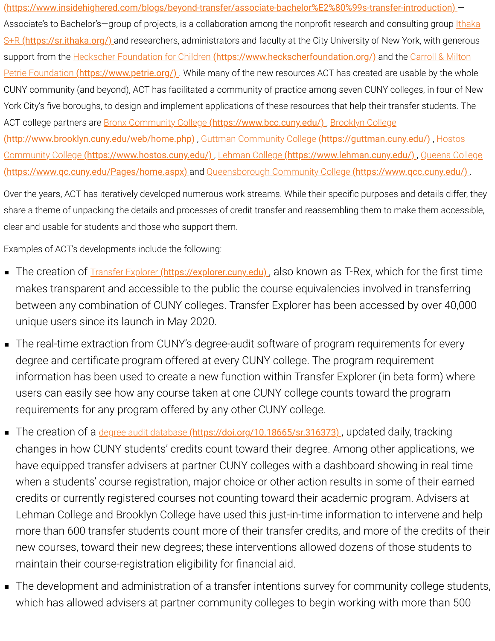[\(https://www.insidehighered.com/blogs/beyond-transfer/associate-bachelor%E2%80%99s-transfer-introduction\)](https://www.insidehighered.com/blogs/beyond-transfer/associate-bachelor%E2%80%99s-transfer-introduction) — Associate's to Bachelor's-group of projects, is a collaboration among the nonprofit research and consulting group *Ithaka* S+R (https://sr.ithaka.org/) and researchers, administrators and faculty at the City University of New York, with generous support from the Heckscher Foundation for Children [\(https://www.heckscherfoundation.org/\)](https://www.heckscherfoundation.org/) and the Carroll & Milton Petrie Foundation (https://www.petrie.org/)[. While many of the new resources ACT has created are usable by the who](https://www.petrie.org/)le CUNY community (and beyond), ACT has facilitated a community of practice among seven CUNY colleges, in four of New York City's five boroughs, to design and implement applications of these resources that help their transfer students. The [ACT college partners are Bronx Community College](http://www.brooklyn.cuny.edu/web/home.php) (https://www.bcc.cuny.edu/), Brooklyn College (http://www.brooklyn.cuny.edu/web/home.php), Guttman Community College (https://guttman.cuny.edu/), Hostos Community College (https://www.hostos.cuny.edu/) , Lehman College [\(https://www.lehman.cuny.edu/\)](https://www.lehman.cuny.edu/) , Queens College [\(https://www.qc.cuny.edu/Pages/home.aspx\)](https://www.qc.cuny.edu/Pages/home.aspx) and [Queensborough Community College](https://www.qcc.cuny.edu/) (https://www.qcc.cuny.edu/) .

Over the years, ACT has iteratively developed numerous work streams. While their specific purposes and details differ, they share a theme of unpacking the details and processes of credit transfer and reassembling them to make them accessible, clear and usable for students and those who support them.

Examples of ACT's developments include the following:

- The creation of **Transfer Explorer (https://explorer.cuny.edu**), also known as T-Rex, which for the first time makes transparent and accessible to the public the course equivalencies involved in transferring between any combination of CUNY colleges. Transfer Explorer has been accessed by over 40,000 unique users since its launch in May 2020.
- The real-time extraction from CUNY's degree-audit software of program requirements for every degree and certificate program offered at every CUNY college. The program requirement information has been used to create a new function within Transfer Explorer (in beta form) where users can easily see how any course taken at one CUNY college counts toward the program requirements for any program offered by any other CUNY college.
- The creation of a degree audit database (https://doi.org/10.18665/sr.316373), updated daily, tracking changes in how CUNY students' credits count toward their degree. Among other applications, we have equipped transfer advisers at partner CUNY colleges with a dashboard showing in real time when a students' course registration, major choice or other action results in some of their earned credits or currently registered courses not counting toward their academic program. Advisers at Lehman College and Brooklyn College have used this just-in-time information to intervene and help more than 600 transfer students count more of their transfer credits, and more of the credits of their new courses, toward their new degrees; these interventions allowed dozens of those students to maintain their course-registration eligibility for financial aid.
- The development and administration of a transfer intentions survey for community college students, which has allowed advisers at partner community colleges to begin working with more than 500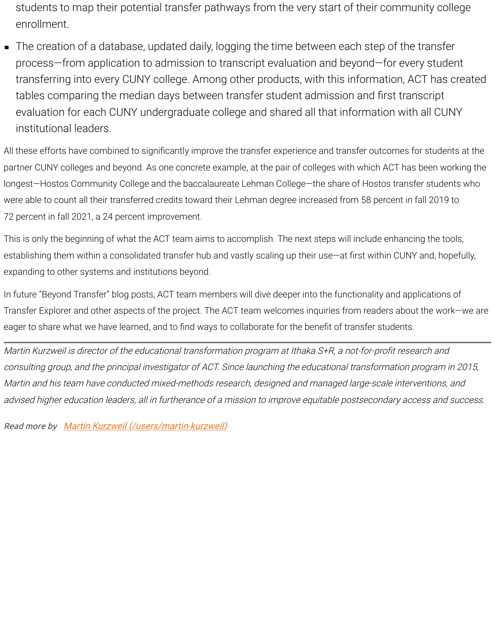students to map their potential transfer pathways from the very start of their community college enrollment.

The creation of a database, updated daily, logging the time between each step of the transfer process—from application to admission to transcript evaluation and beyond—for every student transferring into every CUNY college. Among other products, with this information, ACT has created tables comparing the median days between transfer student admission and first transcript evaluation for each CUNY undergraduate college and shared all that information with all CUNY institutional leaders.

All these efforts have combined to significantly improve the transfer experience and transfer outcomes for students at the partner CUNY colleges and beyond. As one concrete example, at the pair of colleges with which ACT has been working the longest—Hostos Community College and the baccalaureate Lehman College—the share of Hostos transfer students who were able to count all their transferred credits toward their Lehman degree increased from 58 percent in fall 2019 to 72 percent in fall 2021, a 24 percent improvement.

This is only the beginning of what the ACT team aims to accomplish. The next steps will include enhancing the tools, establishing them within a consolidated transfer hub and vastly scaling up their use—at first within CUNY and, hopefully, expanding to other systems and institutions beyond.

In future "Beyond Transfer" blog posts, ACT team members will dive deeper into the functionality and applications of Transfer Explorer and other aspects of the project. The ACT team welcomes inquiries from readers about the work—we are eager to share what we have learned, and to find ways to collaborate for the benefit of transfer students.

Martin Kurzweil is director of the educational transformation program at Ithaka S+R, a not-for-profit research and consulting group, and the principal investigator of ACT. Since launching the educational transformation program in 2015, Martin and his team have conducted mixed-methods research, designed and managed large-scale interventions, and advised higher education leaders, all in furtherance of a mission to improve equitable postsecondary access and success.

Read more by [Martin Kurzweil \(/users/martin-kurzweil\)](https://www.insidehighered.com/users/martin-kurzweil)